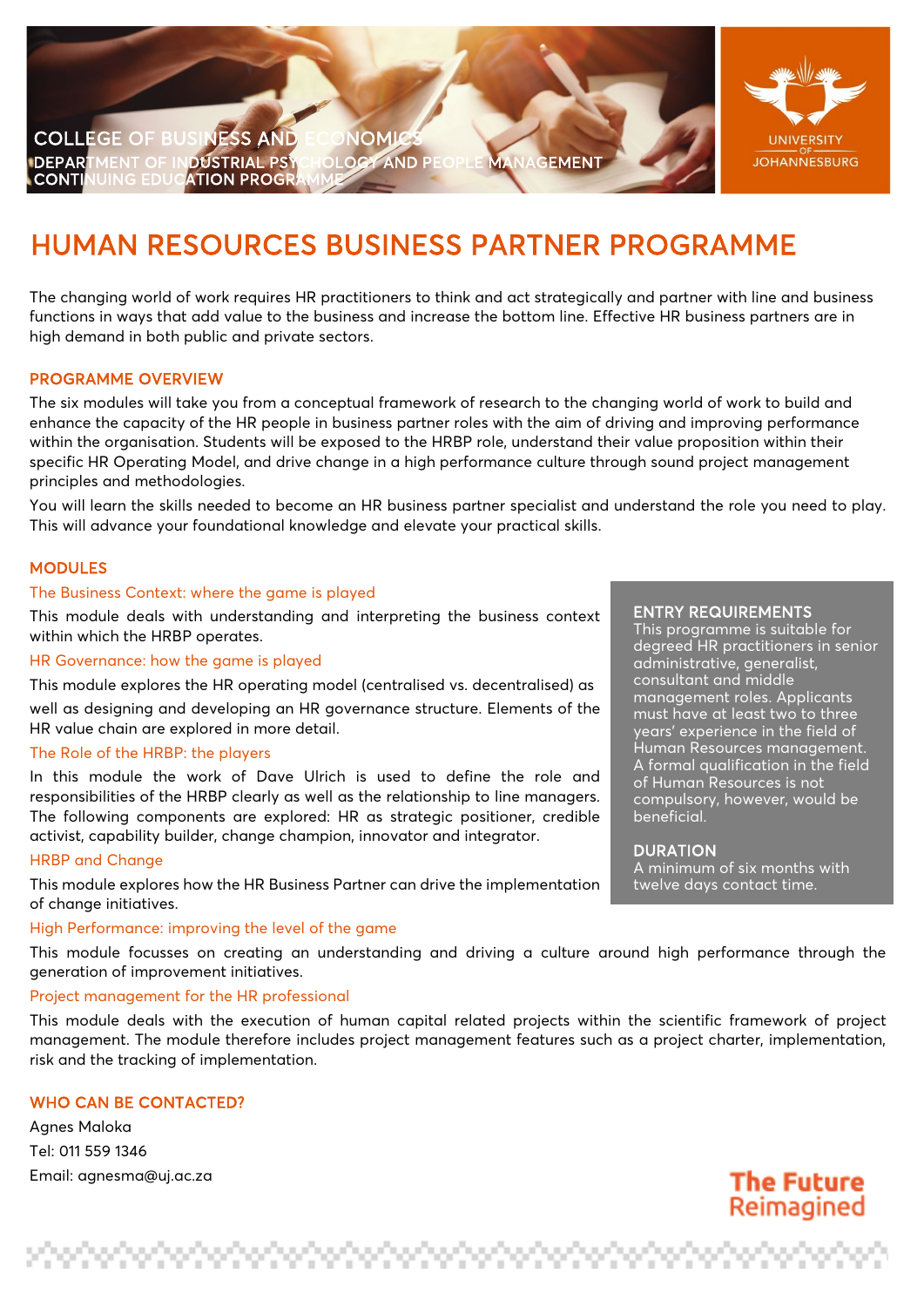

# HUMAN RESOURCES BUSINESS PARTNER PROGRAMME

The changing world of work requires HR practitioners to think and act strategically and partner with line and business functions in ways that add value to the business and increase the bottom line. Effective HR business partners are in high demand in both public and private sectors.

# PROGRAMME OVERVIEW

The six modules will take you from a conceptual framework of research to the changing world of work to build and enhance the capacity of the HR people in business partner roles with the aim of driving and improving performance within the organisation. Students will be exposed to the HRBP role, understand their value proposition within their specific HR Operating Model, and drive change in a high performance culture through sound project management principles and methodologies.

You will learn the skills needed to become an HR business partner specialist and understand the role you need to play. This will advance your foundational knowledge and elevate your practical skills.

# MODULES

## The Business Context: where the game is played

This module deals with understanding and interpreting the business context within which the HRBP operates.

#### HR Governance: how the game is played

This module explores the HR operating model (centralised vs. decentralised) as

well as designing and developing an HR governance structure. Elements of the HR value chain are explored in more detail.

## The Role of the HRBP: the players

In this module the work of Dave Ulrich is used to define the role and responsibilities of the HRBP clearly as well as the relationship to line managers. The following components are explored: HR as strategic positioner, credible activist, capability builder, change champion, innovator and integrator.

## HRBP and Change

This module explores how the HR Business Partner can drive the implementation of change initiatives.

## High Performance: improving the level of the game

verberberberberberberberberberb

This module focusses on creating an understanding and driving a culture around high performance through the generation of improvement initiatives.

## Project management for the HR professional

This module deals with the execution of human capital related projects within the scientific framework of project management. The module therefore includes project management features such as a project charter, implementation, risk and the tracking of implementation.

# WHO CAN BE CONTACTED?

Agnes Maloka Tel: 011 559 1346 Email: [agnesma@uj.ac.za](mailto:agnesma@uj.ac.za)

#### ENTRY REQUIREMENTS

This programme is suitable for degreed HR practitioners in senior administrative, generalist, consultant and middle management roles. Applicants must have at least two to three years' experience in the field of Human Resources management. A formal qualification in the field of Human Resources is not compulsory, however, would be beneficial.

#### DURATION

ina ina ina ina ina ina ina i

A minimum of six months with twelve days contact time.